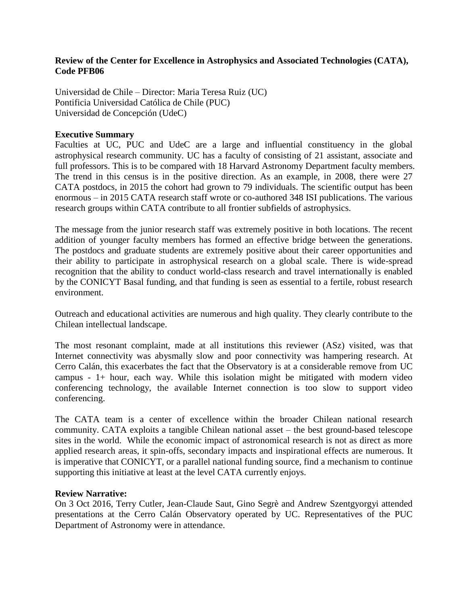## **Review of the Center for Excellence in Astrophysics and Associated Technologies (CATA), Code PFB06**

Universidad de Chile – Director: Maria Teresa Ruiz (UC) Pontificia Universidad Católica de Chile (PUC) Universidad de Concepción (UdeC)

## **Executive Summary**

Faculties at UC, PUC and UdeC are a large and influential constituency in the global astrophysical research community. UC has a faculty of consisting of 21 assistant, associate and full professors. This is to be compared with 18 Harvard Astronomy Department faculty members. The trend in this census is in the positive direction. As an example, in 2008, there were 27 CATA postdocs, in 2015 the cohort had grown to 79 individuals. The scientific output has been enormous – in 2015 CATA research staff wrote or co-authored 348 ISI publications. The various research groups within CATA contribute to all frontier subfields of astrophysics.

The message from the junior research staff was extremely positive in both locations. The recent addition of younger faculty members has formed an effective bridge between the generations. The postdocs and graduate students are extremely positive about their career opportunities and their ability to participate in astrophysical research on a global scale. There is wide-spread recognition that the ability to conduct world-class research and travel internationally is enabled by the CONICYT Basal funding, and that funding is seen as essential to a fertile, robust research environment.

Outreach and educational activities are numerous and high quality. They clearly contribute to the Chilean intellectual landscape.

The most resonant complaint, made at all institutions this reviewer (ASz) visited, was that Internet connectivity was abysmally slow and poor connectivity was hampering research. At Cerro Calán, this exacerbates the fact that the Observatory is at a considerable remove from UC campus - 1+ hour, each way. While this isolation might be mitigated with modern video conferencing technology, the available Internet connection is too slow to support video conferencing.

The CATA team is a center of excellence within the broader Chilean national research community. CATA exploits a tangible Chilean national asset – the best ground-based telescope sites in the world. While the economic impact of astronomical research is not as direct as more applied research areas, it spin-offs, secondary impacts and inspirational effects are numerous. It is imperative that CONICYT, or a parallel national funding source, find a mechanism to continue supporting this initiative at least at the level CATA currently enjoys.

## **Review Narrative:**

On 3 Oct 2016, Terry Cutler, Jean-Claude Saut, Gino Segrè and Andrew Szentgyorgyi attended presentations at the Cerro Calán Observatory operated by UC. Representatives of the PUC Department of Astronomy were in attendance.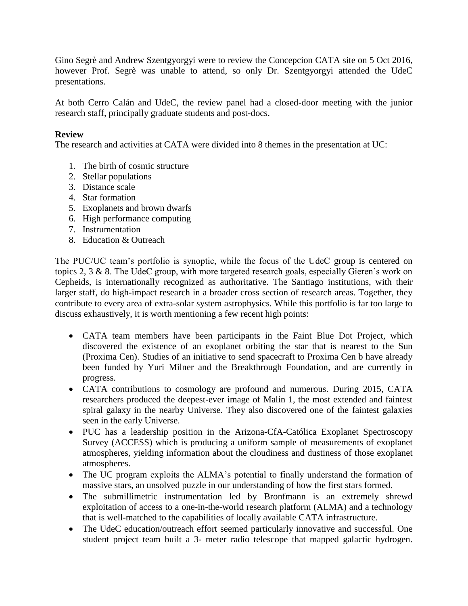Gino Segrè and Andrew Szentgyorgyi were to review the Concepcion CATA site on 5 Oct 2016, however Prof. Segrè was unable to attend, so only Dr. Szentgyorgyi attended the UdeC presentations.

At both Cerro Calán and UdeC, the review panel had a closed-door meeting with the junior research staff, principally graduate students and post-docs.

# **Review**

The research and activities at CATA were divided into 8 themes in the presentation at UC:

- 1. The birth of cosmic structure
- 2. Stellar populations
- 3. Distance scale
- 4. Star formation
- 5. Exoplanets and brown dwarfs
- 6. High performance computing
- 7. Instrumentation
- 8. Education & Outreach

The PUC/UC team's portfolio is synoptic, while the focus of the UdeC group is centered on topics 2, 3 & 8. The UdeC group, with more targeted research goals, especially Gieren's work on Cepheids, is internationally recognized as authoritative. The Santiago institutions, with their larger staff, do high-impact research in a broader cross section of research areas. Together, they contribute to every area of extra-solar system astrophysics. While this portfolio is far too large to discuss exhaustively, it is worth mentioning a few recent high points:

- CATA team members have been participants in the Faint Blue Dot Project, which discovered the existence of an exoplanet orbiting the star that is nearest to the Sun (Proxima Cen). Studies of an initiative to send spacecraft to Proxima Cen b have already been funded by Yuri Milner and the Breakthrough Foundation, and are currently in progress.
- CATA contributions to cosmology are profound and numerous. During 2015, CATA researchers produced the deepest-ever image of Malin 1, the most extended and faintest spiral galaxy in the nearby Universe. They also discovered one of the faintest galaxies seen in the early Universe.
- PUC has a leadership position in the Arizona-CfA-Católica Exoplanet Spectroscopy Survey (ACCESS) which is producing a uniform sample of measurements of exoplanet atmospheres, yielding information about the cloudiness and dustiness of those exoplanet atmospheres.
- The UC program exploits the ALMA's potential to finally understand the formation of massive stars, an unsolved puzzle in our understanding of how the first stars formed.
- The submillimetric instrumentation led by Bronfmann is an extremely shrewd exploitation of access to a one-in-the-world research platform (ALMA) and a technology that is well-matched to the capabilities of locally available CATA infrastructure.
- The UdeC education/outreach effort seemed particularly innovative and successful. One student project team built a 3- meter radio telescope that mapped galactic hydrogen.